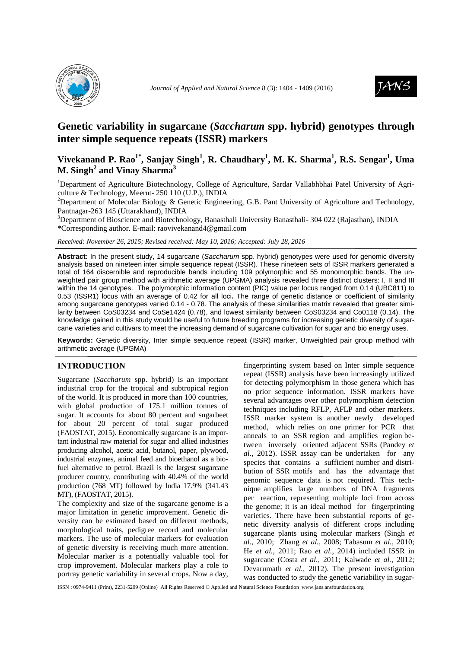



# **Genetic variability in sugarcane (***Saccharum* **spp. hybrid) genotypes through inter simple sequence repeats (ISSR) markers**

# **Vivekanand P. Rao1\*, Sanjay Singh<sup>1</sup> , R. Chaudhary<sup>1</sup> , M. K. Sharma<sup>1</sup> , R.S. Sengar<sup>1</sup> , Uma M. Singh<sup>2</sup> and Vinay Sharma<sup>3</sup>**

<sup>1</sup>Department of Agriculture Biotechnology, College of Agriculture, Sardar Vallabhbhai Patel University of Agriculture & Technology, Meerut- 250 110 (U.P.), INDIA

<sup>2</sup>Department of Molecular Biology & Genetic Engineering, G.B. Pant University of Agriculture and Technology, Pantnagar-263 145 (Uttarakhand), INDIA

<sup>3</sup>Department of Bioscience and Biotechnology, Banasthali University Banasthali- 304 022 (Rajasthan), INDIA \*Corresponding author. E-mail: raovivekanand4@gmail.com

*Received: November 26, 2015; Revised received: May 10, 2016; Accepted: July 28, 2016*

Abstract: In the present study, 14 sugarcane (Saccharum spp. hybrid) genotypes were used for genomic diversity analysis based on nineteen inter simple sequence repeat (ISSR). These nineteen sets of ISSR markers generated a total of 164 discernible and reproducible bands including 109 polymorphic and 55 monomorphic bands. The unweighted pair group method with arithmetic average (UPGMA) analysis revealed three distinct clusters: I, II and III within the 14 genotypes. The polymorphic information content (PIC) value per locus ranged from 0.14 (UBC811) to 0.53 (ISSR1) locus with an average of 0.42 for all loci**.** The range of genetic distance or coefficient of similarity among sugarcane genotypes varied 0.14 - 0.78. The analysis of these similarities matrix revealed that greater similarity between CoS03234 and CoSe1424 (0.78), and lowest similarity between CoS03234 and Co0118 (0.14). The knowledge gained in this study would be useful to future breeding programs for increasing genetic diversity of sugarcane varieties and cultivars to meet the increasing demand of sugarcane cultivation for sugar and bio energy uses.

**Keywords:** Genetic diversity, Inter simple sequence repeat (ISSR) marker, Unweighted pair group method with arithmetic average (UPGMA)

### **INTRODUCTION**

Sugarcane (*Saccharum* spp. hybrid) is an important industrial crop for the tropical and subtropical region of the world. It is produced in more than 100 countries, with global production of 175.1 million tonnes of sugar. It accounts for about 80 percent and sugarbeet for about 20 percent of total sugar produced (FAOSTAT, 2015). Economically sugarcane is an important industrial raw material for sugar and allied industries producing alcohol, acetic acid, butanol, paper, plywood, industrial enzymes, animal feed and bioethanol as a biofuel alternative to petrol. Brazil is the largest sugarcane producer country, contributing with 40.4% of the world production (768 MT) followed by India 17.9% (341.43 MT), (FAOSTAT, 2015).

The complexity and size of the sugarcane genome is a major limitation in genetic improvement. Genetic diversity can be estimated based on different methods, morphological traits, pedigree record and molecular markers. The use of molecular markers for evaluation of genetic diversity is receiving much more attention. Molecular marker is a potentially valuable tool for crop improvement. Molecular markers play a role to portray genetic variability in several crops. Now a day, fingerprinting system based on Inter simple sequence repeat (ISSR) analysis have been increasingly utilized for detecting polymorphism in those genera which has no prior sequence information. ISSR markers have several advantages over other polymorphism detection techniques including RFLP, AFLP and other markers. ISSR marker system is another newly developed method, which relies on one primer for PCR that anneals to an SSR region and amplifies region between inversely oriented adjacent SSRs (Pandey *et al.,* 2012). ISSR assay can be undertaken for any species that contains a sufficient number and distribution of SSR motifs and has the advantage that genomic sequence data is not required. This technique amplifies large numbers of DNA fragments per reaction, representing multiple loci from across the genome; it is an ideal method for fingerprinting varieties. There have been substantial reports of genetic diversity analysis of different crops including sugarcane plants using molecular markers (Singh *et al*., 2010; Zhang *et al.,* 2008; Tabasum *et al.,* 2010; He *et al.,* 2011; Rao *et al.*, 2014) included ISSR in sugarcane (Costa *et al.,* 2011; Kalwade *et al.,* 2012; Devarumath *et al.,* 2012). The present investigation was conducted to study the genetic variability in sugar-

ISSN : 0974-9411 (Print), 2231-5209 (Online) All Rights Reserved © Applied and Natural Science Foundation www.jans.ansfoundation.org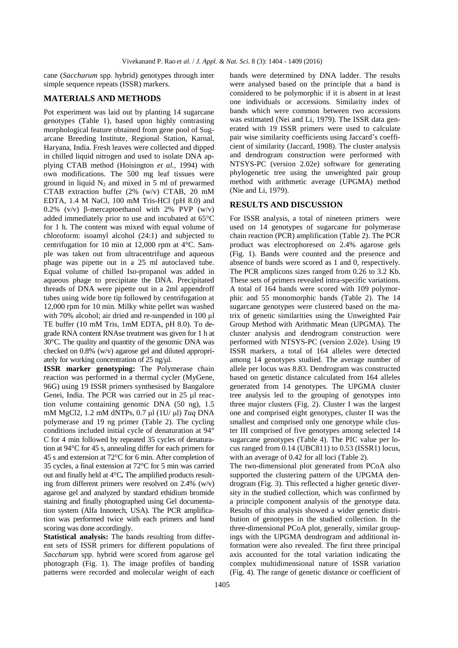cane (*Saccharum* spp. hybrid) genotypes through inter simple sequence repeats (ISSR) markers.

## **MATERIALS AND METHODS**

Pot experiment was laid out by planting 14 sugarcane genotypes (Table 1), based upon highly contrasting morphological feature obtained from gene pool of Sugarcane Breeding Institute, Regional Station, Karnal, Haryana, India. Fresh leaves were collected and dipped in chilled liquid nitrogen and used to isolate DNA applying CTAB method (Hoisington *et al.,* 1994) with own modifications. The 500 mg leaf tissues were ground in liquid  $N_2$  and mixed in 5 ml of prewarmed CTAB extraction buffer (2% (w/v) CTAB, 20 mM EDTA, 1.4 M NaCl, 100 mM Tris-HCl (pH 8.0) and 0.2% ( $v/v$ ) β-mercaptoethanol with 2% PVP ( $w/v$ ) added immediately prior to use and incubated at 65°C for 1 h. The content was mixed with equal volume of chloroform: isoamyl alcohol (24:1) and subjected to centrifugation for 10 min at 12,000 rpm at 4°C. Sample was taken out from ultracentrifuge and aqueous phage was pipette out in a 25 ml autoclaved tube. Equal volume of chilled Iso-propanol was added in aqueous phage to precipitate the DNA. Precipitated threads of DNA were pipette out in a 2ml appendroff tubes using wide bore tip followed by centrifugation at 12,000 rpm for 10 min. Milky white pellet was washed with 70% alcohol; air dried and re-suspended in 100 µl TE buffer (10 mM Tris, 1mM EDTA, pH 8.0). To degrade RNA content RNAse treatment was given for 1 h at 30°C. The quality and quantity of the genomic DNA was checked on 0.8% (w/v) agarose gel and diluted appropriately for working concentration of 25 ng/µl.

**ISSR marker genotyping:** The Polymerase chain reaction was performed in a thermal cycler (MyGene, 96G) using 19 ISSR primers synthesised by Bangalore Genei, India. The PCR was carried out in 25 ul reaction volume containing genomic DNA (50 ng), 1.5 mM MgCl2, 1.2 mM dNTPs, 0.7 µl (1U/ µl) *Taq* DNA polymerase and 19 ng primer (Table 2). The cycling conditions included initial cycle of denaturation at 94° C for 4 min followed by repeated 35 cycles of denaturation at 94°C for 45 s, annealing differ for each primers for 45 s and extension at 72°C for 6 min. After completion of 35 cycles, a final extension at 72°C for 5 min was carried out and finally held at 4°C**.** The amplified products resulting from different primers were resolved on  $2.4\%$  (w/v) agarose gel and analyzed by standard ethidium bromide staining and finally photographed using Gel documentation system (Alfa Innotech, USA). The PCR amplification was performed twice with each primers and band scoring was done accordingly.

**Statistical analysis:** The bands resulting from different sets of ISSR primers for different populations of *Saccharum* spp. hybrid were scored from agarose gel photograph (Fig. 1). The image profiles of banding patterns were recorded and molecular weight of each

bands were determined by DNA ladder. The results were analysed based on the principle that a band is considered to be polymorphic if it is absent in at least one individuals or accessions. Similarity index of bands which were common between two accessions was estimated (Nei and Li, 1979). The ISSR data generated with 19 ISSR primers were used to calculate pair wise similarity coefficients using Jaccard's coefficient of similarity (Jaccard, 1908). The cluster analysis and dendrogram construction were performed with NTSYS-PC (version 2.02e) software for generating phylogenetic tree using the unweighted pair group method with arithmetic average (UPGMA) method (Nie and Li, 1979).

### **RESULTS AND DISCUSSION**

For ISSR analysis, a total of nineteen primers were used on 14 genotypes of sugarcane for polymerase chain reaction (PCR) amplification (Table 2). The PCR product was electrophoresed on 2.4% agarose gels (Fig. 1). Bands were counted and the presence and absence of bands were scored as 1 and 0, respectively. The PCR amplicons sizes ranged from 0.26 to 3.2 Kb. These sets of primers revealed intra-specific variations. A total of 164 bands were scored with 109 polymorphic and 55 monomorphic bands (Table 2). The 14 sugarcane genotypes were clustered based on the matrix of genetic similarities using the Unweighted Pair Group Method with Arithmatic Mean (UPGMA). The cluster analysis and dendrogram construction were performed with NTSYS-PC (version 2.02e). Using 19 ISSR markers, a total of 164 alleles were detected among 14 genotypes studied. The average number of allele per locus was 8.83. Dendrogram was constructed based on genetic distance calculated from 164 alleles generated from 14 genotypes. The UPGMA cluster tree analysis led to the grouping of genotypes into three major clusters (Fig. 2). Cluster I was the largest one and comprised eight genotypes, cluster II was the smallest and comprised only one genotype while cluster III comprised of five genotypes among selected 14 sugarcane genotypes (Table 4). The PIC value per locus ranged from 0.14 (UBC811) to 0.53 (ISSR1) locus, with an average of 0.42 for all loci (Table 2).

The two-dimensional plot generated from PCoA also supported the clustering pattern of the UPGMA dendrogram (Fig. 3). This reflected a higher genetic diversity in the studied collection, which was confirmed by a principle component analysis of the genotype data. Results of this analysis showed a wider genetic distribution of genotypes in the studied collection. In the three-dimensional PCoA plot, generally, similar groupings with the UPGMA dendrogram and additional information were also revealed. The first three principal axis accounted for the total variation indicating the complex multidimensional nature of ISSR variation (Fig. 4). The range of genetic distance or coefficient of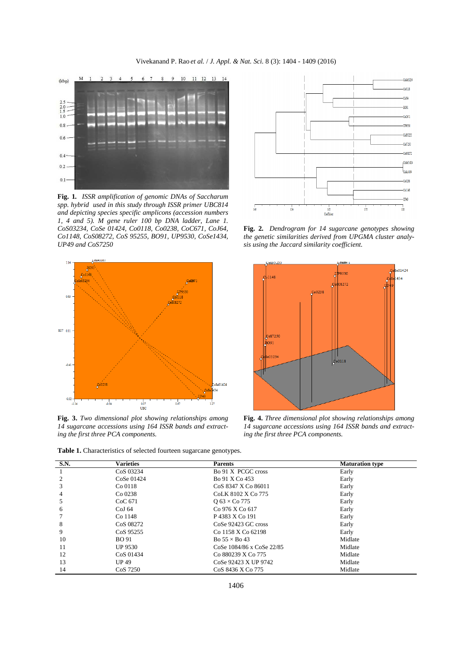

**Fig. 1***. ISSR amplification of genomic DNAs of Saccharum spp. hybrid used in this study through ISSR primer UBC814 and depicting species specific amplicons (accession numbers 1, 4 and 5). M gene ruler 100 bp DNA ladder, Lane 1. CoS03234, CoSe 01424, Co0118, Co0238, CoC671, CoJ64, Co1148, CoS08272, CoS 95255, BO91, UP9530, CoSe1434, UP49 and CoS7250* 



**Fig. 3.** *Two dimensional plot showing relationships among 14 sugarcane accessions using 164 ISSR bands and extracting the first three PCA components.*



**Fig. 2***. Dendrogram for 14 sugarcane genotypes showing the genetic similarities derived from UPGMA cluster analysis using the Jaccard similarity coefficient.* 



**Fig. 4.** *Three dimensional plot showing relationships among 14 sugarcane accessions using 164 ISSR bands and extracting the first three PCA components.* 

**Table 1.** Characteristics of selected fourteen sugarcane genotypes.

| S.N. | <b>Varieties</b>      | <b>Parents</b>                | <b>Maturation type</b> |
|------|-----------------------|-------------------------------|------------------------|
|      | CoS 03234             | Bo 91 X PCGC cross            | Early                  |
|      | $CoSe$ 01424          | Bo 91 X Co 453                | Early                  |
|      | $Co$ 0118             | CoS 8347 X Co 86011           | Early                  |
| 4    | $Co$ 0238             | CoLK 8102 X Co 775            | Early                  |
|      | CoC 671               | $Q$ 63 $\times$ Co 775        | Early                  |
| 6    | CoJ <sub>64</sub>     | Co 976 X Co 617               | Early                  |
|      | Co 1148               | P 4383 X Co 191               | Early                  |
| 8    | CoS 08272             | CoSe 92423 GC cross           | Early                  |
| 9    | Co <sub>S</sub> 95255 | Co 1158 X Co 62198            | Early                  |
| 10   | <b>BO</b> 91          | Bo $55 \times$ Bo 43          | Midlate                |
| 11   | <b>UP 9530</b>        | CoSe 1084/86 x CoSe 22/85     | Midlate                |
| 12   | Co <sub>S</sub> 01434 | Co 880239 X Co 775            | Midlate                |
| 13   | UP49                  | CoSe 92423 X UP 9742          | Midlate                |
| 14   | CoS 7250              | Co <sub>S</sub> 8436 X Co 775 | Midlate                |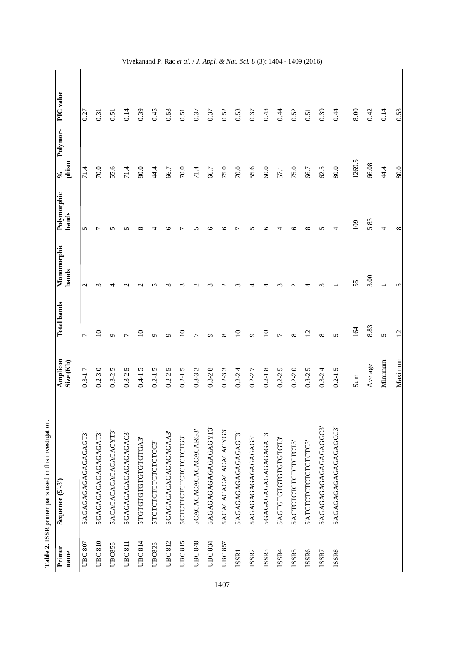| C. Colorador<br>こくこう      |
|---------------------------|
|                           |
| $\ddot{\phantom{a}}$<br>١ |
| $\ddot{\phantom{0}}$      |
|                           |
| $\frac{1}{2}$             |
| ׇ֚֚֘֝                     |
| <b>WEIGHT CAR SHOPPED</b> |
| しくり                       |
|                           |
|                           |

| Primer<br>name    | Sequence (5'-3')       | Amplicon<br>Size (Kb) | <b>Total bands</b> | Monomorphic<br>bands | Polymorphic<br>bands | Polymor-<br>phism<br>$\mathcal{S}_{\bullet}$ | PIC value |
|-------------------|------------------------|-----------------------|--------------------|----------------------|----------------------|----------------------------------------------|-----------|
| <b>UBC 807</b>    | 5'AGAGAGAGAGAGAGAGT3'  | $0.3 - 1.7$           |                    | $\mathbf 2$          | 5                    | 71.4                                         | 0.27      |
| <b>UBC810</b>     | 5'GAGAGAGAGAGAGAT3'    | $0.2 - 3.0$           | $\Omega$           |                      |                      | 70.0                                         | 0.31      |
| <b>UBC855</b>     | S'ACACACACACACACACYT3' | $0.3 - 2.5$           | ᡋ                  |                      | n                    | 55.6                                         | 0.51      |
| <b>UBC811</b>     | 5'GAGAGAGAGAGAGAGAC3'  | $0.3 - 2.5$           |                    |                      |                      | 71.4                                         | 0.14      |
| UBC814            | STGTGTGTGTGTGTGGA3     | $0.4 - 1.5$           | $\Xi$              |                      | $\infty$             | 80.0                                         | 0.39      |
| <b>UBC823</b>     | S'TCTCTCTCTCTCTCC3     | $0.2 - 1.5$           | ᡋ                  | n                    |                      | 44.4                                         | 0.45      |
| <b>UBC812</b>     | 5'GAGAGAGAGAGAGAAA3'   | $0.2 - 2.5$           | σ                  |                      | ⊾                    | 66.7                                         | 0.53      |
| UBC815            | S'CTCTTCTCTCTCTCTCTG3' | $0.2 - 1.5$           | $\Xi$              |                      |                      | 70.0                                         | 0.51      |
| UBC 848           | S'CACACACACACACACARG3' | $0.3 - 3.2$           |                    |                      |                      | 71.4                                         | 0.37      |
| UBC 834           | 5'AGAGAGAGAGAGAGAT3'   | $0.3 - 2.8$           | ᡋ                  |                      | ≌                    | 66.7                                         | 0.37      |
| UBC 857           | S'ACACACACACACACACYG3' | $0.2 - 3.3$           | $\infty$           |                      | ७                    | 75.0                                         | 0.52      |
| ISSR1             | 5'AGAGAGAGAGAGAGAGT3'  | $0.2 - 2.4$           | $\Xi$              |                      |                      | 70.0                                         | 0.53      |
| ISSR <sub>2</sub> | 5'AGAGAGAGAGAGAGAG3'   | $0.2 - 2.7$           | ᡋ                  | ⊣                    | n                    | 55.6                                         | 0.37      |
| ISSR3             | S'GAGAGAGAGAGAGAGAT3'  | $0.2 - 1.8$           | $\Xi$              |                      | ७                    | 60.0                                         | 0.43      |
| ISSR4             | S'AGTGTGTGTGTGTGTGT3'  | $0.2 - 2.5$           |                    |                      |                      | 57.1                                         | 0.44      |
| ISSR5             | S'ACTCTCTCTCTCTCT3'    | $0.2 - 2.0$           | $\infty$           |                      | ७                    | 75.0                                         | 0.52      |
| ISSR6             | S'ATCTCTCTCTCTCTC3'    | $0.3 - 2.5$           | $\overline{c}$     |                      | ∞                    | 66.7                                         | 0.51      |
| ISSR7             | 5'AGAGAGAGAGAGAGGC3'   | $0.3 - 2.4$           | $\infty$           |                      | $\sqrt{ }$           | 62.5                                         | 0.39      |
| ISSR8             | 5'AGAGAGAGAGAGAGCC3'   | $0.2 - 1.5$           | $\overline{5}$     |                      | 4                    | 80.0                                         | 0.44      |
|                   |                        | Sum                   | 164                | 55                   | 109                  | 1269.5                                       | 8.00      |
|                   |                        | Average               | 8.83               | 3.00                 | 5.83                 | 66.08                                        | 0.42      |
|                   |                        | Minimum               | 5                  |                      | 4                    | 44.4                                         | 0.14      |
|                   |                        | Maximum               | 12                 | 5                    | ${}^{\circ}$         | 80.0                                         | 0.53      |

Vivekanand P. Rao *et al.*  / *J. Appl. & Nat. Sci.* 8 (3): 1404 - 1409 (2016)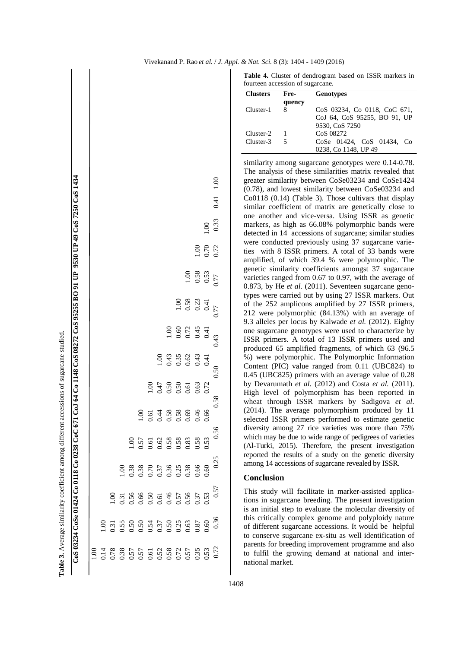| $-20.7$          |
|------------------|
|                  |
|                  |
|                  |
| ֕                |
|                  |
| ľ                |
|                  |
| ٔ<br>Table.<br>֠ |

| CoS 03234 CoSe 01424 Co 0118 Co 0238 CoC 671 CoJ 64 Co 1148 CoS 08272 CoS 95255 BO 91 UP 9530 UP 49 CoS 7250 CoS 1434 |      |      |      |                 |                |                |                |                                                                                                                                                                                                                                                                                                               |      |      |               |                 | 1.00<br>0.41 |
|-----------------------------------------------------------------------------------------------------------------------|------|------|------|-----------------|----------------|----------------|----------------|---------------------------------------------------------------------------------------------------------------------------------------------------------------------------------------------------------------------------------------------------------------------------------------------------------------|------|------|---------------|-----------------|--------------|
|                                                                                                                       |      |      |      |                 |                |                |                |                                                                                                                                                                                                                                                                                                               |      |      |               | 001             | 0.33         |
|                                                                                                                       |      |      |      |                 |                |                |                |                                                                                                                                                                                                                                                                                                               |      |      | $\frac{8}{1}$ | 0.70            | 0.72         |
|                                                                                                                       |      |      |      |                 |                |                |                |                                                                                                                                                                                                                                                                                                               |      | 1.00 | 0.58          | 0.53            | 0.77         |
|                                                                                                                       |      |      |      |                 |                |                |                |                                                                                                                                                                                                                                                                                                               | 1.00 | 0.58 | 0.23          | $\overline{15}$ | 0.77         |
|                                                                                                                       |      |      |      |                 |                |                |                | 00.1                                                                                                                                                                                                                                                                                                          | 0.60 | 0.72 | 0.45          | 0.41            | 0.43         |
|                                                                                                                       |      |      |      |                 |                |                | $\frac{8}{10}$ | 0.43                                                                                                                                                                                                                                                                                                          | 0.35 | 0.62 | 0.43          | 0.41            | 0.50         |
|                                                                                                                       |      |      |      |                 |                | $\frac{8}{10}$ | 0.47           | 0.50                                                                                                                                                                                                                                                                                                          | 0.50 | 0.61 | 0.63          | 0.72            | 0.58         |
|                                                                                                                       |      |      |      |                 | $\frac{8}{10}$ | 0.61           | 0.44           | 0.58                                                                                                                                                                                                                                                                                                          | 0.58 | 0.69 | 0.46          | 0.66            |              |
|                                                                                                                       |      |      |      |                 |                |                |                | $\begin{array}{c} 1.00 \\ 1.57 \\ 0.51 \\ 0.60 \\ 0.60 \\ 0.60 \\ 0.63 \\ 0.53 \\ 0.53 \\ 0.53 \\ 0.53 \\ 0.53 \\ 0.53 \\ 0.53 \\ 0.53 \\ 0.53 \\ 0.53 \\ 0.53 \\ 0.53 \\ 0.53 \\ 0.53 \\ 0.53 \\ 0.53 \\ 0.53 \\ 0.53 \\ 0.53 \\ 0.53 \\ 0.53 \\ 0.53 \\ 0.53 \\ 0.53 \\ 0.53 \\ 0.53 \\ 0.53 \\ 0.53 \\ 0.$ |      |      |               |                 | 56           |
|                                                                                                                       |      |      |      | $\frac{0}{100}$ |                |                |                | $\begin{array}{c} 338 \\ 0.38 \\ 0.57 \\ 0.03 \\ 0.03 \\ 0.03 \\ 0.03 \\ 0.03 \\ 0.03 \\ 0.00 \\ 0.00 \\ 0.00 \\ 0.00 \\ 0.00 \\ 0.00 \\ 0.00 \\ 0.00 \\ 0.00 \\ 0.00 \\ 0.00 \\ 0.00 \\ 0.00 \\ 0.00 \\ 0.00 \\ 0.00 \\ 0.00 \\ 0.00 \\ 0.00 \\ 0.00 \\ 0.00 \\ 0.00 \\ 0.00 \\ 0.00 \\ 0.00 \\ 0.00 \\ 0.0$ |      |      |               |                 | 0.25         |
|                                                                                                                       |      |      | 00.1 |                 |                |                |                |                                                                                                                                                                                                                                                                                                               |      |      |               |                 | 0.57         |
|                                                                                                                       |      | 00.1 |      |                 |                |                |                |                                                                                                                                                                                                                                                                                                               |      |      |               |                 | 0.36         |
|                                                                                                                       | 00.1 |      |      |                 |                |                |                |                                                                                                                                                                                                                                                                                                               |      |      |               |                 | 0.72         |

**Table 4.** Cluster of dendrogram based on ISSR markers in fourteen accession of sugarcane.

| <b>Clusters</b> | Fre-   | <b>Genotypes</b>             |
|-----------------|--------|------------------------------|
|                 | quency |                              |
| Cluster-1       | 8      | CoS 03234, Co 0118, CoC 671, |
|                 |        | CoJ 64, CoS 95255, BO 91, UP |
|                 |        | 9530, CoS 7250               |
| Cluster-2       |        | CoS 08272                    |
| Cluster-3       | 5      | CoSe 01424, CoS 01434, Co    |
|                 |        | 0238, Co 1148, UP 49         |

similarity among sugarcane genotypes were 0.14-0.78. The analysis of these similarities matrix revealed that greater similarity between CoSe03234 and CoSe1424 (0.78), and lowest similarity between CoSe03234 and Co0118 (0.14) (Table 3). Those cultivars that display similar coefficient of matrix are genetically close to one another and vice-versa. Using ISSR as genetic markers, as high as 66.08% polymorphic bands were detected in 14 accessions of sugarcane; similar studies were conducted previously using 37 sugarcane varieties with 8 ISSR primers. A total of 33 bands were amplified, of which 39.4 % were polymorphic. The genetic similarity coefficients amongst 37 sugarcane varieties ranged from 0.67 to 0.97, with the average of 0.873, by He *et al.* (2011). Seventeen sugarcane genotypes were carried out by using 27 ISSR markers. Out of the 252 amplicons amplified by 27 ISSR primers, 212 were polymorphic (84.13%) with an average of 9.3 alleles per locus by Kalwade *et al.* (2012). Eighty one sugarcane genotypes were used to characterize by ISSR primers. A total of 13 ISSR primers used and produced 65 amplified fragments, of which 63 (96.5 %) were polymorphic. The Polymorphic Information Content (PIC) value ranged from 0.11 (UBC824) to 0.45 (UBC825) primers with an average value of 0.28 by Devarumath *et al.* (2012) and Costa *et al.* (2011). High level of polymorphism has been reported in wheat through ISSR markers by Sadigova *et al*. (2014). The average polymorphism produced by 11 selected ISSR primers performed to estimate genetic diversity among 27 rice varieties was more than 75% which may be due to wide range of pedigrees of varieties (Al-Turki, 2015). Therefore, the present investigation reported the results of a study on the genetic diversity among 14 accessions of sugarcane revealed by ISSR.

## **Conclusion**

This study will facilitate in marker-assisted applications in sugarcane breeding. The present investigation is an initial step to evaluate the molecular diversity of this critically complex genome and polyploidy nature of different sugarcane accessions. It would be helpful to conserve sugarcane ex-situ as well identification of parents for breeding improvement programme and also to fulfil the growing demand at national and international market.